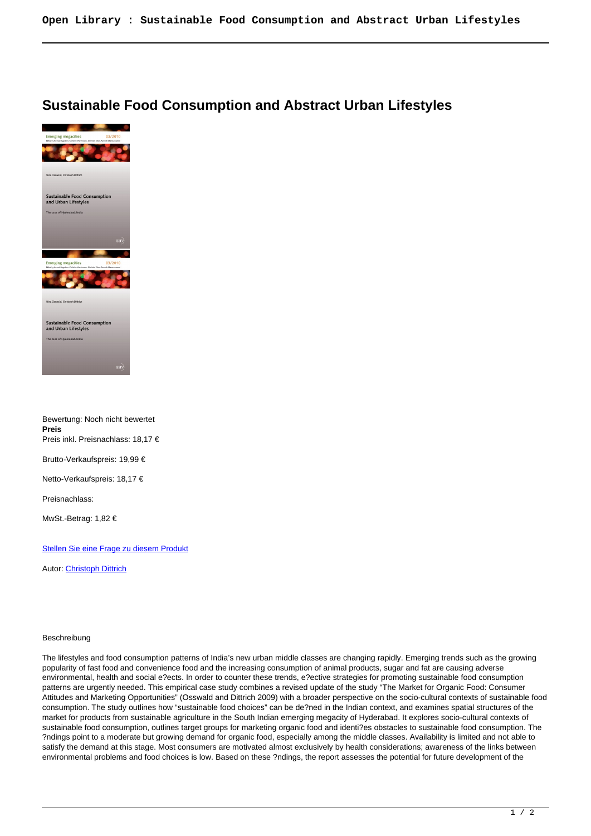## **Sustainable Food Consumption and Abstract Urban Lifestyles**



Bewertung: Noch nicht bewertet **Preis** Preis inkl. Preisnachlass: 18,17 € Brutto-Verkaufspreis: 19,99 € Netto-Verkaufspreis: 18,17 € Preisnachlass: MwSt.-Betrag: 1,82 €

## [Stellen Sie eine Frage zu diesem Produkt](https://www.viennaacademicpress.at/index.php?option=com_virtuemart&view=productdetails&task=askquestion&virtuemart_product_id=2443&virtuemart_category_id=11&tmpl=component)

Autor: [Christoph Dittrich](https://www.viennaacademicpress.at/index.php?option=com_virtuemart&view=manufacturer&virtuemart_manufacturer_id=582&tmpl=component)

## Beschreibung

The lifestyles and food consumption patterns of India's new urban middle classes are changing rapidly. Emerging trends such as the growing popularity of fast food and convenience food and the increasing consumption of animal products, sugar and fat are causing adverse environmental, health and social e?ects. In order to counter these trends, e?ective strategies for promoting sustainable food consumption patterns are urgently needed. This empirical case study combines a revised update of the study "The Market for Organic Food: Consumer Attitudes and Marketing Opportunities" (Osswald and Dittrich 2009) with a broader perspective on the socio-cultural contexts of sustainable food consumption. The study outlines how "sustainable food choices" can be de?ned in the Indian context, and examines spatial structures of the market for products from sustainable agriculture in the South Indian emerging megacity of Hyderabad. It explores socio-cultural contexts of sustainable food consumption, outlines target groups for marketing organic food and identi?es obstacles to sustainable food consumption. The ?ndings point to a moderate but growing demand for organic food, especially among the middle classes. Availability is limited and not able to satisfy the demand at this stage. Most consumers are motivated almost exclusively by health considerations; awareness of the links between environmental problems and food choices is low. Based on these ?ndings, the report assesses the potential for future development of the